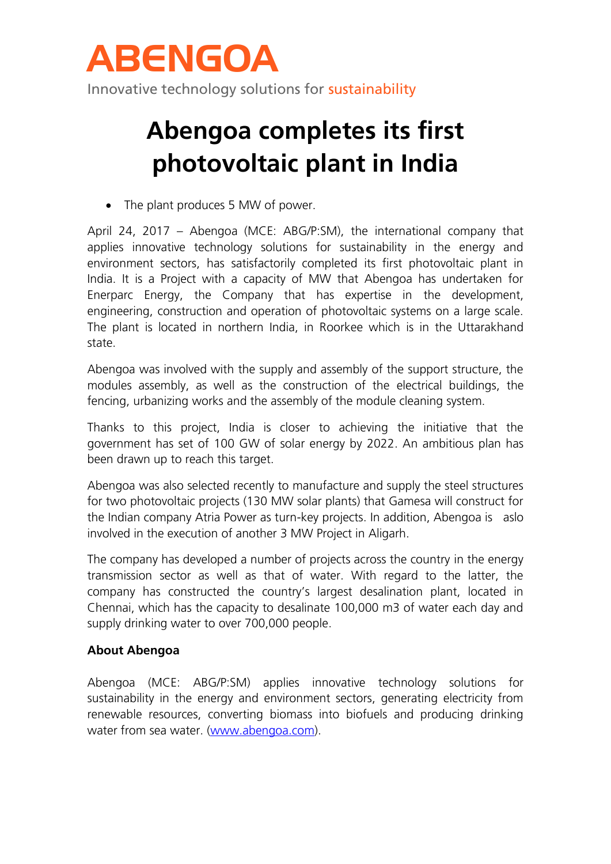

Innovative technology solutions for sustainability

## **Abengoa completes its first photovoltaic plant in India**

• The plant produces 5 MW of power.

April 24, 2017 – Abengoa (MCE: ABG/P:SM), the international company that applies innovative technology solutions for sustainability in the energy and environment sectors, has satisfactorily completed its first photovoltaic plant in India. It is a Project with a capacity of MW that Abengoa has undertaken for Enerparc Energy, the Company that has expertise in the development, engineering, construction and operation of photovoltaic systems on a large scale. The plant is located in northern India, in Roorkee which is in the Uttarakhand state.

Abengoa was involved with the supply and assembly of the support structure, the modules assembly, as well as the construction of the electrical buildings, the fencing, urbanizing works and the assembly of the module cleaning system.

Thanks to this project, India is closer to achieving the initiative that the government has set of 100 GW of solar energy by 2022. An ambitious plan has been drawn up to reach this target.

Abengoa was also selected recently to manufacture and supply the steel structures for two photovoltaic projects (130 MW solar plants) that Gamesa will construct for the Indian company Atria Power as turn-key projects. In addition, Abengoa is aslo involved in the execution of another 3 MW Project in Aligarh.

The company has developed a number of projects across the country in the energy transmission sector as well as that of water. With regard to the latter, the company has constructed the country's largest desalination plant, located in Chennai, which has the capacity to desalinate 100,000 m3 of water each day and supply drinking water to over 700,000 people.

## **About Abengoa**

Abengoa (MCE: ABG/P:SM) applies innovative technology solutions for sustainability in the energy and environment sectors, generating electricity from renewable resources, converting biomass into biofuels and producing drinking water from sea water. [\(www.abengoa.com\)](http://www.abengoa.com/).